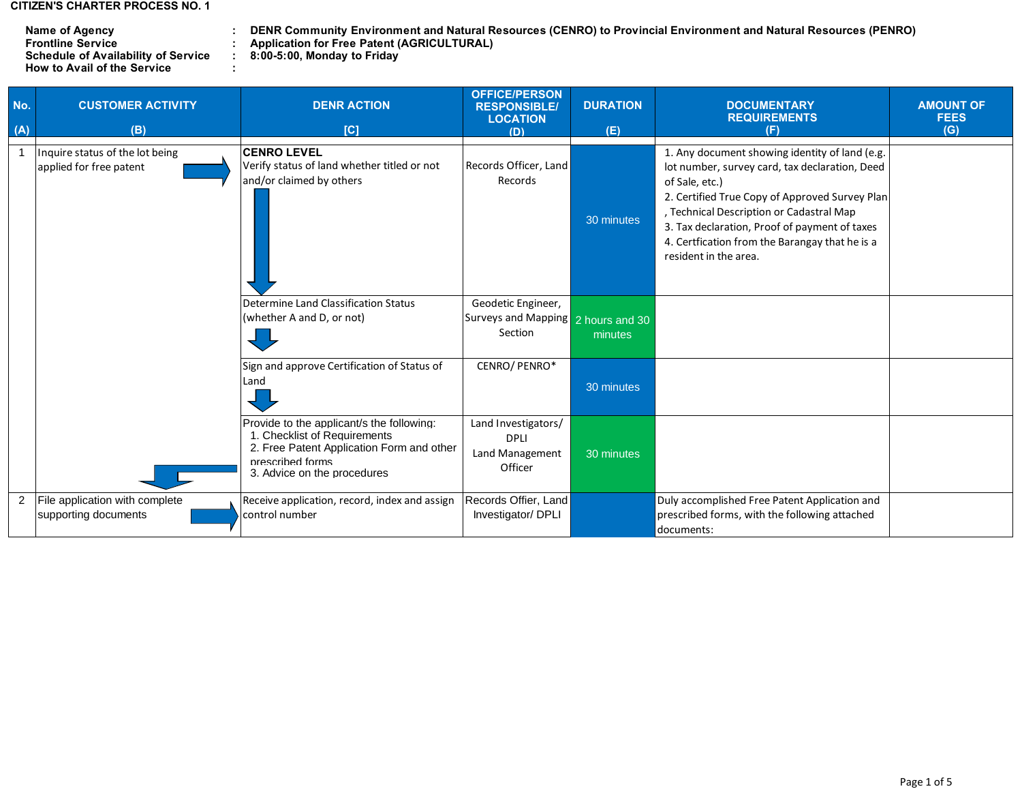## **CITIZEN'S CHARTER PROCESS NO. 1**

| Name of Agency                             |   | <b>DENR Community Environn</b>     |
|--------------------------------------------|---|------------------------------------|
| <b>Frontline Service</b>                   |   | <b>Application for Free Patent</b> |
| <b>Schedule of Availability of Service</b> |   | 8:00-5:00, Monday to Friday        |
| <b>How to Avail of the Service</b>         | ٠ |                                    |

**: : Name of Agency DENR Community Environment and Natural Resources (CENRO) to Provincial Environment and Natural Resources (PENRO) Frontline Service Application for Free Patent (AGRICULTURAL)**

| No.<br>(A)     | <b>CUSTOMER ACTIVITY</b><br>(B)                            | <b>DENR ACTION</b><br>[C]                                                                                                                                                 | <b>OFFICE/PERSON</b><br><b>RESPONSIBLE/</b><br><b>LOCATION</b><br>(D) | <b>DURATION</b><br>(E) | <b>DOCUMENTARY</b><br><b>REQUIREMENTS</b><br>(F)                                                                                                                                                                                                                                                                                             | <b>AMOUNT OF</b><br><b>FEES</b><br>(G) |
|----------------|------------------------------------------------------------|---------------------------------------------------------------------------------------------------------------------------------------------------------------------------|-----------------------------------------------------------------------|------------------------|----------------------------------------------------------------------------------------------------------------------------------------------------------------------------------------------------------------------------------------------------------------------------------------------------------------------------------------------|----------------------------------------|
|                | Inquire status of the lot being<br>applied for free patent | <b>CENRO LEVEL</b><br>Verify status of land whether titled or not<br>and/or claimed by others                                                                             | Records Officer, Land<br>Records                                      | 30 minutes             | 1. Any document showing identity of land (e.g.<br>lot number, survey card, tax declaration, Deed<br>of Sale, etc.)<br>2. Certified True Copy of Approved Survey Plan<br>, Technical Description or Cadastral Map<br>3. Tax declaration, Proof of payment of taxes<br>4. Certfication from the Barangay that he is a<br>resident in the area. |                                        |
|                |                                                            | Determine Land Classification Status<br>(whether A and D, or not)                                                                                                         | Geodetic Engineer,<br>Surveys and Mapping 2 hours and 30<br>Section   | minutes                |                                                                                                                                                                                                                                                                                                                                              |                                        |
|                |                                                            | Sign and approve Certification of Status of<br>Land                                                                                                                       | CENRO/PENRO*                                                          | 30 minutes             |                                                                                                                                                                                                                                                                                                                                              |                                        |
|                |                                                            | Provide to the applicant/s the following:<br>1. Checklist of Requirements<br>2. Free Patent Application Form and other<br>prescribed forms<br>3. Advice on the procedures | Land Investigators/<br><b>DPLI</b><br>Land Management<br>Officer      | 30 minutes             |                                                                                                                                                                                                                                                                                                                                              |                                        |
| $\overline{2}$ | File application with complete<br>supporting documents     | Receive application, record, index and assign<br>control number                                                                                                           | Records Offier, Land<br>Investigator/ DPLI                            |                        | Duly accomplished Free Patent Application and<br>prescribed forms, with the following attached<br>documents:                                                                                                                                                                                                                                 |                                        |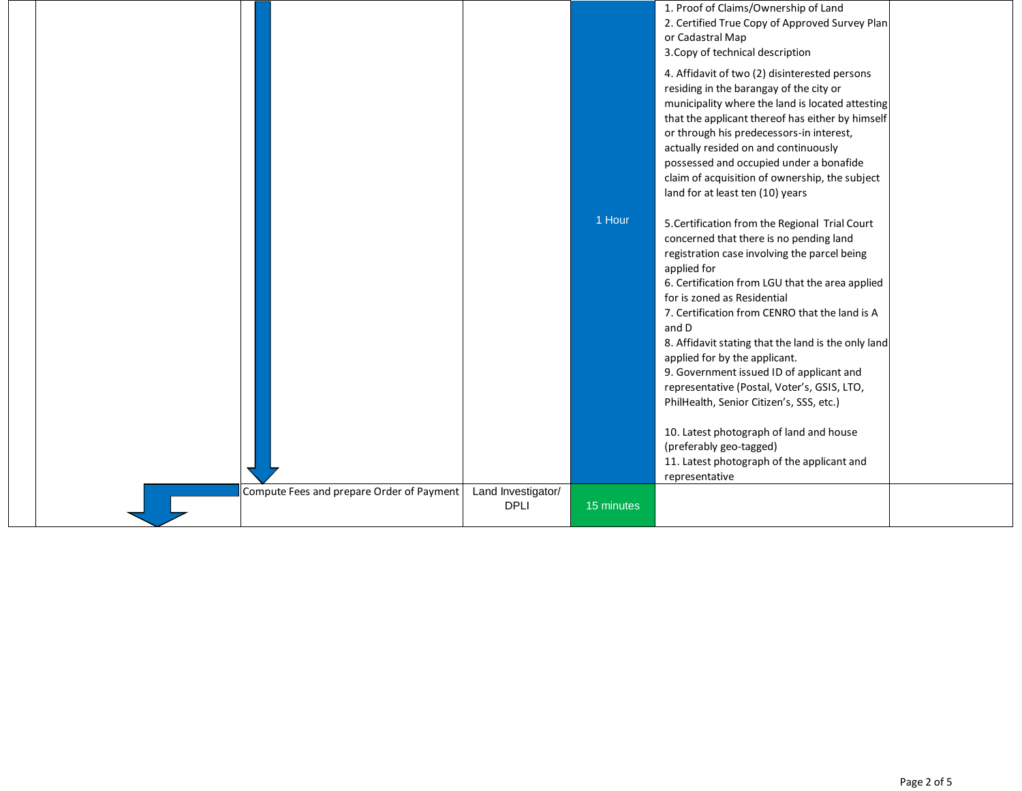|                                           |                                   |            | 1. Proof of Claims/Ownership of Land<br>2. Certified True Copy of Approved Survey Plan<br>or Cadastral Map<br>3. Copy of technical description<br>4. Affidavit of two (2) disinterested persons<br>residing in the barangay of the city or<br>municipality where the land is located attesting<br>that the applicant thereof has either by himself<br>or through his predecessors-in interest,<br>actually resided on and continuously<br>possessed and occupied under a bonafide<br>claim of acquisition of ownership, the subject<br>land for at least ten (10) years                                                                                                    |  |
|-------------------------------------------|-----------------------------------|------------|----------------------------------------------------------------------------------------------------------------------------------------------------------------------------------------------------------------------------------------------------------------------------------------------------------------------------------------------------------------------------------------------------------------------------------------------------------------------------------------------------------------------------------------------------------------------------------------------------------------------------------------------------------------------------|--|
|                                           |                                   | 1 Hour     | 5. Certification from the Regional Trial Court<br>concerned that there is no pending land<br>registration case involving the parcel being<br>applied for<br>6. Certification from LGU that the area applied<br>for is zoned as Residential<br>7. Certification from CENRO that the land is A<br>and D<br>8. Affidavit stating that the land is the only land<br>applied for by the applicant.<br>9. Government issued ID of applicant and<br>representative (Postal, Voter's, GSIS, LTO,<br>PhilHealth, Senior Citizen's, SSS, etc.)<br>10. Latest photograph of land and house<br>(preferably geo-tagged)<br>11. Latest photograph of the applicant and<br>representative |  |
| Compute Fees and prepare Order of Payment | Land Investigator/<br><b>DPLI</b> | 15 minutes |                                                                                                                                                                                                                                                                                                                                                                                                                                                                                                                                                                                                                                                                            |  |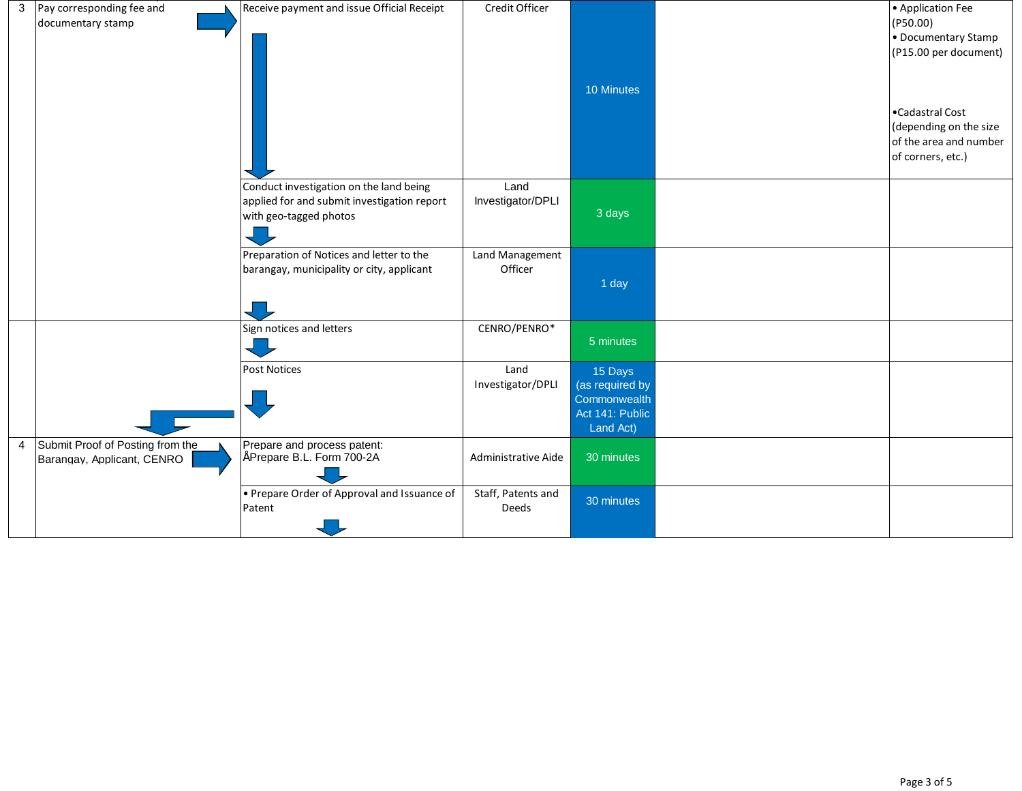|   | 3 Pay corresponding fee and<br>documentary stamp               | Receive payment and issue Official Receipt                                                                       | Credit Officer              | 10 Minutes                                                                 | • Application Fee<br>(P50.00)<br>• Documentary Stamp<br>(P15.00 per document)<br>•Cadastral Cost<br>(depending on the size<br>of the area and number |
|---|----------------------------------------------------------------|------------------------------------------------------------------------------------------------------------------|-----------------------------|----------------------------------------------------------------------------|------------------------------------------------------------------------------------------------------------------------------------------------------|
|   |                                                                |                                                                                                                  |                             |                                                                            | of corners, etc.)                                                                                                                                    |
|   |                                                                | Conduct investigation on the land being<br>applied for and submit investigation report<br>with geo-tagged photos | Land<br>Investigator/DPLI   | 3 days                                                                     |                                                                                                                                                      |
|   |                                                                | Preparation of Notices and letter to the<br>barangay, municipality or city, applicant                            | Land Management<br>Officer  | 1 day                                                                      |                                                                                                                                                      |
|   |                                                                | Sign notices and letters                                                                                         | CENRO/PENRO*                | 5 minutes                                                                  |                                                                                                                                                      |
|   |                                                                | <b>Post Notices</b>                                                                                              | Land<br>Investigator/DPLI   | 15 Days<br>(as required by<br>Commonwealth<br>Act 141: Public<br>Land Act) |                                                                                                                                                      |
| 4 | Submit Proof of Posting from the<br>Barangay, Applicant, CENRO | Prepare and process patent:<br>Prepare B.L. Form 700-2A                                                          | Administrative Aide         | 30 minutes                                                                 |                                                                                                                                                      |
|   |                                                                | • Prepare Order of Approval and Issuance of<br>Patent                                                            | Staff, Patents and<br>Deeds | 30 minutes                                                                 |                                                                                                                                                      |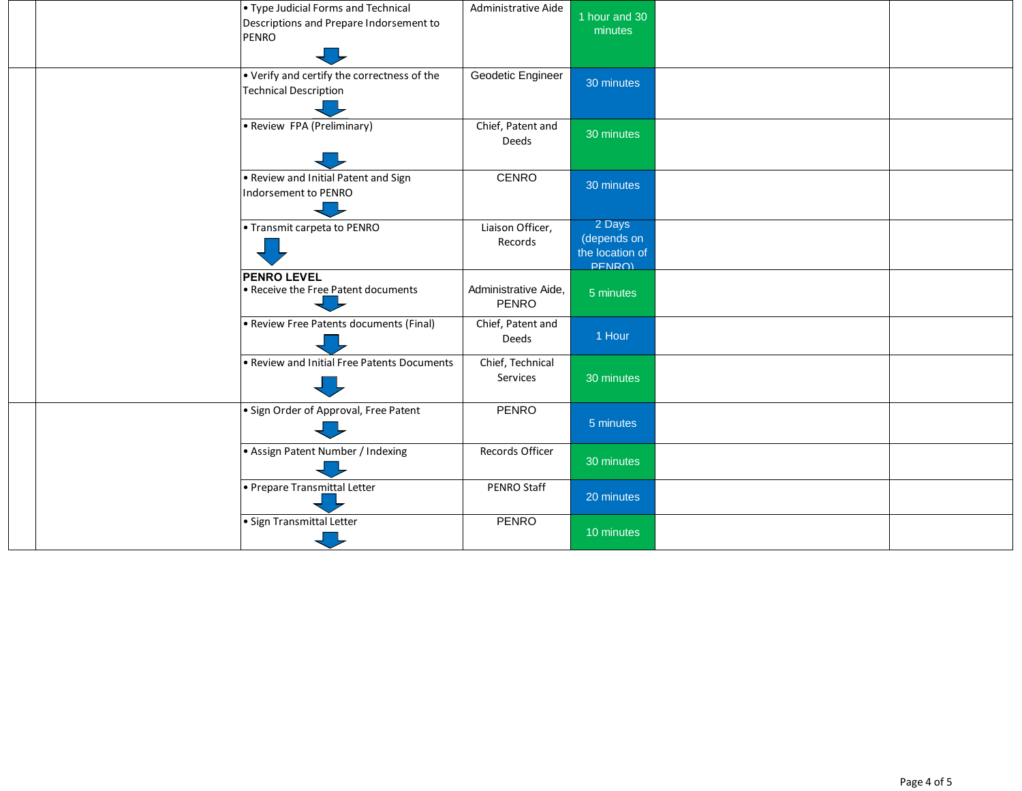|  |  | • Type Judicial Forms and Technical<br>Descriptions and Prepare Indorsement to<br>PENRO | Administrative Aide           | 1 hour and 30<br>minutes                           |  |
|--|--|-----------------------------------------------------------------------------------------|-------------------------------|----------------------------------------------------|--|
|  |  | • Verify and certify the correctness of the<br><b>Technical Description</b>             | Geodetic Engineer             | 30 minutes                                         |  |
|  |  | • Review FPA (Preliminary)                                                              | Chief, Patent and<br>Deeds    | 30 minutes                                         |  |
|  |  | . Review and Initial Patent and Sign<br>Indorsement to PENRO                            | CENRO                         | 30 minutes                                         |  |
|  |  | • Transmit carpeta to PENRO                                                             | Liaison Officer,<br>Records   | 2 Days<br>(depends on<br>the location of<br>PFNRO) |  |
|  |  | <b>PENRO LEVEL</b><br>• Receive the Free Patent documents                               | Administrative Aide,<br>PFNRO | 5 minutes                                          |  |
|  |  | • Review Free Patents documents (Final)                                                 | Chief, Patent and<br>Deeds    | 1 Hour                                             |  |
|  |  | • Review and Initial Free Patents Documents                                             | Chief, Technical<br>Services  | 30 minutes                                         |  |
|  |  | · Sign Order of Approval, Free Patent                                                   | <b>PENRO</b>                  | 5 minutes                                          |  |
|  |  | • Assign Patent Number / Indexing                                                       | Records Officer               | 30 minutes                                         |  |
|  |  | • Prepare Transmittal Letter                                                            | PENRO Staff                   | 20 minutes                                         |  |
|  |  | · Sign Transmittal Letter                                                               | <b>PENRO</b>                  | 10 minutes                                         |  |